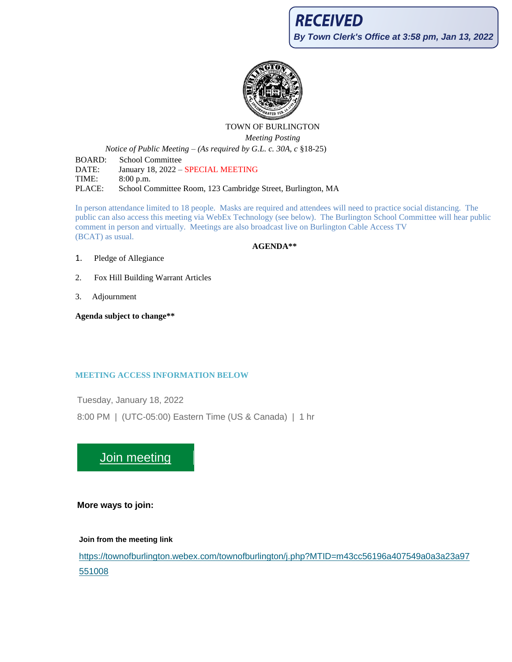

# TOWN OF BURLINGTON

*Meeting Posting*

*Notice of Public Meeting – (As required by G.L. c. 30A, c* §18-25)

BOARD: School Committee DATE: January 18, 2022 - SPECIAL MEETING TIME: 8:00 p.m. PLACE: School Committee Room, 123 Cambridge Street, Burlington, MA

In person attendance limited to 18 people. Masks are required and attendees will need to practice social distancing. The public can also access this meeting via WebEx Technology (see below). The Burlington School Committee will hear public comment in person and virtually. Meetings are also broadcast live on Burlington Cable Access TV (BCAT) as usual.

**AGENDA\*\***

- 1. Pledge of Allegiance
- 2. Fox Hill Building Warrant Articles
- 3. Adjournment

**Agenda subject to change\*\***

# **MEETING ACCESS INFORMATION BELOW**

Tuesday, January 18, 2022

8:00 PM | (UTC-05:00) Eastern Time (US & Canada) | 1 hr

[Join meeting](https://townofburlington.webex.com/townofburlington/j.php?MTID=m43cc56196a407549a0a3a23a97551008)

**More ways to join:**

## **Join from the meeting link**

[https://townofburlington.webex.com/townofburlington/j.php?MTID=m43cc56196a407549a0a3a23a97](https://townofburlington.webex.com/townofburlington/j.php?MTID=m43cc56196a407549a0a3a23a97551008) [551008](https://townofburlington.webex.com/townofburlington/j.php?MTID=m43cc56196a407549a0a3a23a97551008)